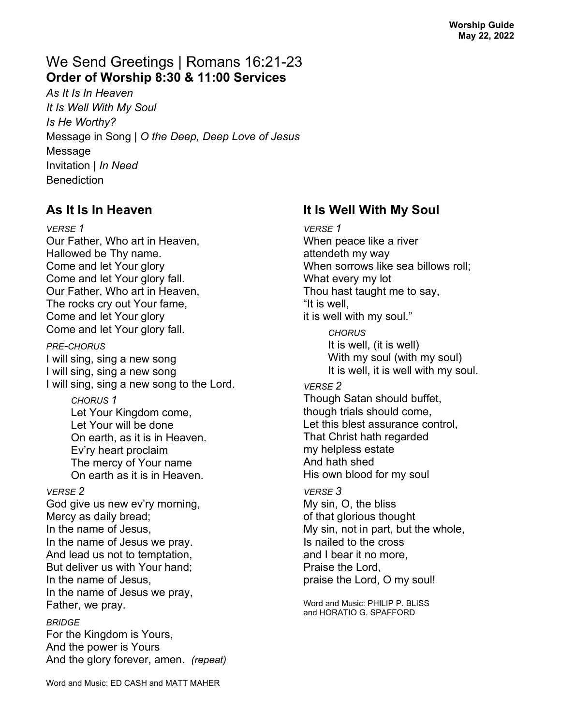# We Send Greetings | Romans 16:21-23 **Order of Worship 8:30 & 11:00 Services**

*As It Is In Heaven It Is Well With My Soul Is He Worthy?* Message in Song | *O the Deep, Deep Love of Jesus* Message Invitation | *In Need* Benediction

# **As It Is In Heaven**

*VERSE 1* Our Father, Who art in Heaven, Hallowed be Thy name. Come and let Your glory Come and let Your glory fall. Our Father, Who art in Heaven, The rocks cry out Your fame, Come and let Your glory Come and let Your glory fall.

*PRE-CHORUS* I will sing, sing a new song I will sing, sing a new song I will sing, sing a new song to the Lord.

> *CHORUS 1* Let Your Kingdom come, Let Your will be done On earth, as it is in Heaven. Ev'ry heart proclaim The mercy of Your name On earth as it is in Heaven.

### *VERSE 2*

God give us new ev'ry morning, Mercy as daily bread; In the name of Jesus, In the name of Jesus we pray. And lead us not to temptation, But deliver us with Your hand; In the name of Jesus, In the name of Jesus we pray, Father, we pray.

### *BRIDGE*

For the Kingdom is Yours, And the power is Yours And the glory forever, amen. *(repeat)*

# **It Is Well With My Soul**

*VERSE 1* When peace like a river attendeth my way When sorrows like sea billows roll; What every my lot Thou hast taught me to say, "It is well, it is well with my soul."

> *CHORUS*  It is well, (it is well) With my soul (with my soul) It is well, it is well with my soul.

### *VERSE 2* Though Satan should buffet, though trials should come, Let this blest assurance control, That Christ hath regarded my helpless estate And hath shed

His own blood for my soul

### *VERSE 3*

My sin, O, the bliss of that glorious thought My sin, not in part, but the whole, Is nailed to the cross and I bear it no more, Praise the Lord, praise the Lord, O my soul!

Word and Music: PHILIP P. BLISS and HORATIO G. SPAFFORD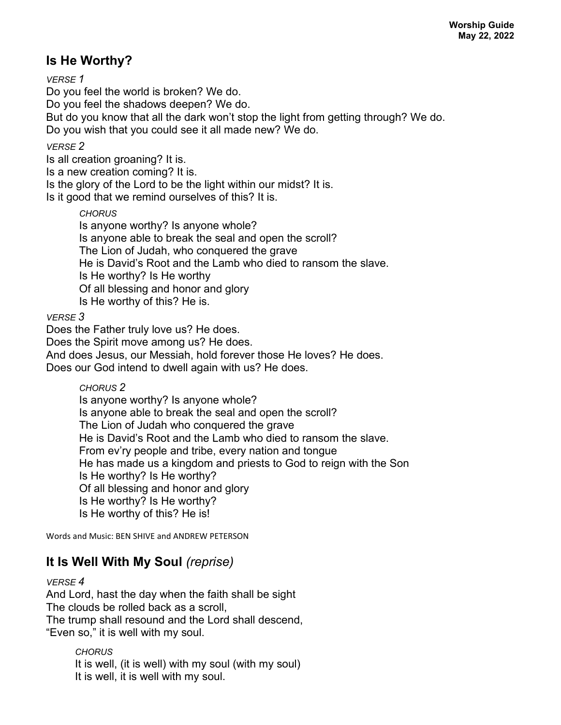## **Is He Worthy?**

*VERSE 1*

Do you feel the world is broken? We do. Do you feel the shadows deepen? We do. But do you know that all the dark won't stop the light from getting through? We do. Do you wish that you could see it all made new? We do.

### *VERSE 2*

Is all creation groaning? It is.

Is a new creation coming? It is.

Is the glory of the Lord to be the light within our midst? It is.

Is it good that we remind ourselves of this? It is.

#### *CHORUS*

Is anyone worthy? Is anyone whole? Is anyone able to break the seal and open the scroll? The Lion of Judah, who conquered the grave He is David's Root and the Lamb who died to ransom the slave. Is He worthy? Is He worthy Of all blessing and honor and glory Is He worthy of this? He is.

### *VERSE 3*

Does the Father truly love us? He does.

Does the Spirit move among us? He does.

And does Jesus, our Messiah, hold forever those He loves? He does.

Does our God intend to dwell again with us? He does.

#### *CHORUS 2*

Is anyone worthy? Is anyone whole? Is anyone able to break the seal and open the scroll? The Lion of Judah who conquered the grave He is David's Root and the Lamb who died to ransom the slave. From ev'ry people and tribe, every nation and tongue He has made us a kingdom and priests to God to reign with the Son Is He worthy? Is He worthy? Of all blessing and honor and glory Is He worthy? Is He worthy? Is He worthy of this? He is!

Words and Music: BEN SHIVE and ANDREW PETERSON

## **It Is Well With My Soul** *(reprise)*

#### *VERSE 4*

And Lord, hast the day when the faith shall be sight The clouds be rolled back as a scroll, The trump shall resound and the Lord shall descend, "Even so," it is well with my soul.

#### *CHORUS*

It is well, (it is well) with my soul (with my soul) It is well, it is well with my soul.